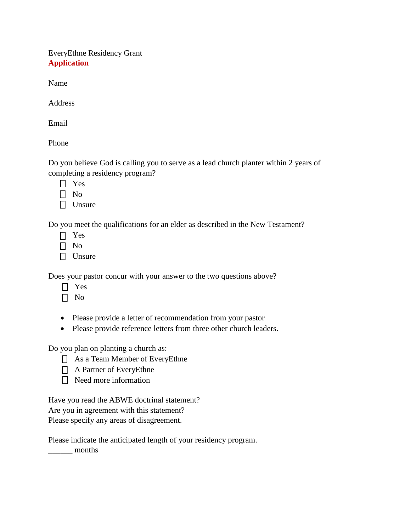EveryEthne Residency Grant **Application**

Name

Address

Email

Phone

Do you believe God is calling you to serve as a lead church planter within 2 years of completing a residency program?

- Yes
- $\Box$  No
- $\Box$  Unsure

Do you meet the qualifications for an elder as described in the New Testament?

- Yes
- $\Box$  No
- $\Box$  Unsure

Does your pastor concur with your answer to the two questions above?

- Yes
- $\Box$  No
- Please provide a letter of recommendation from your pastor
- Please provide reference letters from three other church leaders.

Do you plan on planting a church as:

- As a Team Member of EveryEthne
- A Partner of EveryEthne
- $\Box$  Need more information

Have you read the ABWE doctrinal statement? Are you in agreement with this statement? Please specify any areas of disagreement.

Please indicate the anticipated length of your residency program. \_\_\_\_\_\_ months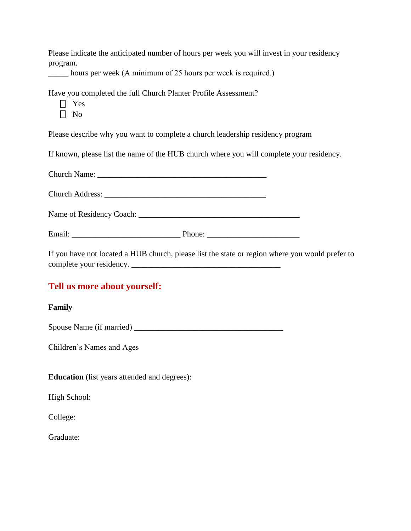Please indicate the anticipated number of hours per week you will invest in your residency program.

\_\_\_\_\_ hours per week (A minimum of 25 hours per week is required.)

Have you completed the full Church Planter Profile Assessment?

□ Yes

 $\Box$  No

Please describe why you want to complete a church leadership residency program

If known, please list the name of the HUB church where you will complete your residency.

| $\mathbf{r}$ , and the set of the set of the set of the set of the set of the set of the set of the set of the set of the set of the set of the set of the set of the set of the set of the set of the set of the set of the set |  |
|----------------------------------------------------------------------------------------------------------------------------------------------------------------------------------------------------------------------------------|--|

If you have not located a HUB church, please list the state or region where you would prefer to complete your residency.

## **Tell us more about yourself:**

## **Family**

Spouse Name (if married) \_\_\_\_\_\_\_\_\_\_\_\_\_\_\_\_\_\_\_\_\_\_\_\_\_\_\_\_\_\_\_\_\_\_\_\_\_

Children's Names and Ages

**Education** (list years attended and degrees):

High School:

College:

Graduate: